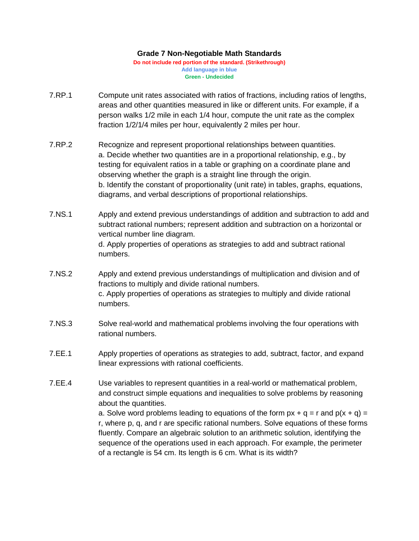## **Grade 7 Non-Negotiable Math Standards**

**Do not include red portion of the standard. (Strikethrough) Add language in blue Green - Undecided**

- 7.RP.1 Compute unit rates associated with ratios of fractions, including ratios of lengths, areas and other quantities measured in like or different units. For example, if a person walks 1/2 mile in each 1/4 hour, compute the unit rate as the complex fraction 1/2/1/4 miles per hour, equivalently 2 miles per hour.
- 7.RP.2 Recognize and represent proportional relationships between quantities. a. Decide whether two quantities are in a proportional relationship, e.g., by testing for equivalent ratios in a table or graphing on a coordinate plane and observing whether the graph is a straight line through the origin. b. Identify the constant of proportionality (unit rate) in tables, graphs, equations, diagrams, and verbal descriptions of proportional relationships.
- 7.NS.1 Apply and extend previous understandings of addition and subtraction to add and subtract rational numbers; represent addition and subtraction on a horizontal or vertical number line diagram. d. Apply properties of operations as strategies to add and subtract rational numbers.
- 7.NS.2 Apply and extend previous understandings of multiplication and division and of fractions to multiply and divide rational numbers. c. Apply properties of operations as strategies to multiply and divide rational numbers.
- 7.NS.3 Solve real-world and mathematical problems involving the four operations with rational numbers.
- 7.EE.1 Apply properties of operations as strategies to add, subtract, factor, and expand linear expressions with rational coefficients.
- 7.EE.4 Use variables to represent quantities in a real-world or mathematical problem, and construct simple equations and inequalities to solve problems by reasoning about the quantities. a. Solve word problems leading to equations of the form  $px + q = r$  and  $p(x + q) =$ r, where p, q, and r are specific rational numbers. Solve equations of these forms fluently. Compare an algebraic solution to an arithmetic solution, identifying the sequence of the operations used in each approach. For example, the perimeter of a rectangle is 54 cm. Its length is 6 cm. What is its width?